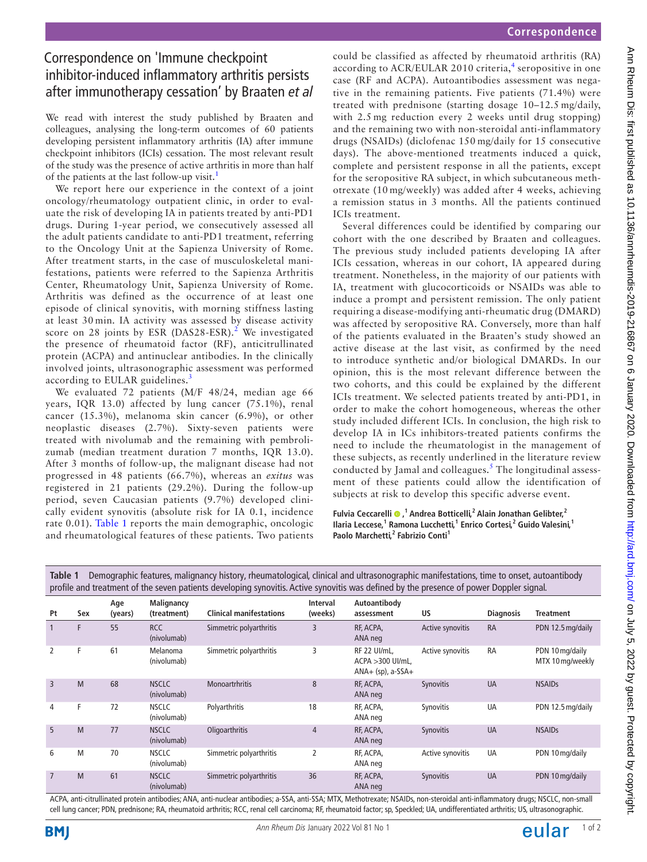## Correspondence on 'Immune checkpoint inhibitor-induced inflammatory arthritis persists after immunotherapy cessation' by Braaten *et al*

We read with interest the study published by Braaten and colleagues, analysing the long-term outcomes of 60 patients developing persistent inflammatory arthritis (IA) after immune checkpoint inhibitors (ICIs) cessation. The most relevant result of the study was the presence of active arthritis in more than half of the patients at the last follow-up visit.<sup>1</sup>

We report here our experience in the context of a joint oncology/rheumatology outpatient clinic, in order to evaluate the risk of developing IA in patients treated by anti-PD1 drugs. During 1-year period, we consecutively assessed all the adult patients candidate to anti-PD1 treatment, referring to the Oncology Unit at the Sapienza University of Rome. After treatment starts, in the case of musculoskeletal manifestations, patients were referred to the Sapienza Arthritis Center, Rheumatology Unit, Sapienza University of Rome. Arthritis was defined as the occurrence of at least one episode of clinical synovitis, with morning stiffness lasting at least 30 min. IA activity was assessed by disease activity score on [2](#page-1-1)8 joints by ESR (DAS28-ESR).<sup>2</sup> We investigated the presence of rheumatoid factor (RF), anticitrullinated protein (ACPA) and antinuclear antibodies. In the clinically involved joints, ultrasonographic assessment was performed according to EULAR guidelines.<sup>[3](#page-1-2)</sup>

We evaluated 72 patients (M/F 48/24, median age 66 years, IQR 13.0) affected by lung cancer (75.1%), renal cancer (15.3%), melanoma skin cancer (6.9%), or other neoplastic diseases (2.7%). Sixty-seven patients were treated with nivolumab and the remaining with pembrolizumab (median treatment duration 7 months, IQR 13.0). After 3 months of follow-up, the malignant disease had not progressed in 48 patients (66.7%), whereas an *exitus* was registered in 21 patients (29.2%). During the follow-up period, seven Caucasian patients (9.7%) developed clinically evident synovitis (absolute risk for IA 0.1, incidence rate 0.01). [Table](#page-0-0) 1 reports the main demographic, oncologic and rheumatological features of these patients. Two patients

could be classified as affected by rheumatoid arthritis (RA) according to ACR/EULAR 2010 criteria,<sup>[4](#page-1-3)</sup> seropositive in one case (RF and ACPA). Autoantibodies assessment was negative in the remaining patients. Five patients (71.4%) were treated with prednisone (starting dosage 10–12.5 mg/daily, with 2.5 mg reduction every 2 weeks until drug stopping) and the remaining two with non-steroidal anti-inflammatory drugs (NSAIDs) (diclofenac 150 mg/daily for 15 consecutive days). The above-mentioned treatments induced a quick, complete and persistent response in all the patients, except for the seropositive RA subject, in which subcutaneous methotrexate (10 mg/weekly) was added after 4 weeks, achieving a remission status in 3 months. All the patients continued ICIs treatment.

Several differences could be identified by comparing our cohort with the one described by Braaten and colleagues. The previous study included patients developing IA after ICIs cessation, whereas in our cohort, IA appeared during treatment. Nonetheless, in the majority of our patients with IA, treatment with glucocorticoids or NSAIDs was able to induce a prompt and persistent remission. The only patient requiring a disease-modifying anti-rheumatic drug (DMARD) was affected by seropositive RA. Conversely, more than half of the patients evaluated in the Braaten's study showed an active disease at the last visit, as confirmed by the need to introduce synthetic and/or biological DMARDs. In our opinion, this is the most relevant difference between the two cohorts, and this could be explained by the different ICIs treatment. We selected patients treated by anti-PD1, in order to make the cohort homogeneous, whereas the other study included different ICIs. In conclusion, the high risk to develop IA in ICs inhibitors-treated patients confirms the need to include the rheumatologist in the management of these subjects, as recently underlined in the literature review conducted by Jamal and colleagues.<sup>[5](#page-1-4)</sup> The longitudinal assessment of these patients could allow the identification of subjects at risk to develop this specific adverse event.

**Fulvia Ceccarelli**  $\bullet$ ,<sup>1</sup> Andrea Botticelli,<sup>2</sup> Alain Jonathan Gelibter,<sup>2</sup> **Ilaria Leccese,1 Ramona Lucchetti,<sup>1</sup> Enrico Cortesi,<sup>2</sup> Guido Valesini,<sup>1</sup> Paolo Marchetti,<sup>2</sup> Fabrizio Conti1**

| profile and treatment of the seven patients developing synovitis. Active synovitis was defined by the presence of power Doppler signal. |     |                |                             |                                |                            |                                                                 |                  |                  |                                     |
|-----------------------------------------------------------------------------------------------------------------------------------------|-----|----------------|-----------------------------|--------------------------------|----------------------------|-----------------------------------------------------------------|------------------|------------------|-------------------------------------|
| Pt                                                                                                                                      | Sex | Age<br>(years) | Malignancy<br>(treatment)   | <b>Clinical manifestations</b> | <b>Interval</b><br>(weeks) | Autoantibody<br>assessment                                      | US               | <b>Diagnosis</b> | <b>Treatment</b>                    |
|                                                                                                                                         | F   | 55             | <b>RCC</b><br>(nivolumab)   | Simmetric polyarthritis        | 3                          | RF, ACPA,<br>ANA neg                                            | Active synovitis | <b>RA</b>        | PDN 12.5 mg/daily                   |
| 2                                                                                                                                       | F   | 61             | Melanoma<br>(nivolumab)     | Simmetric polyarthritis        | 3                          | <b>RF 22 UI/mL.</b><br>ACPA > 300 UI/mL,<br>$ANA+$ (sp), a-SSA+ | Active synovitis | <b>RA</b>        | PDN 10 mg/daily<br>MTX 10 mg/weekly |
| 3                                                                                                                                       | M   | 68             | <b>NSCLC</b><br>(nivolumab) | <b>Monoartrhritis</b>          | 8                          | RF, ACPA,<br>ANA neg                                            | Synovitis        | <b>UA</b>        | <b>NSAIDs</b>                       |
| 4                                                                                                                                       | F   | 72             | <b>NSCLC</b><br>(nivolumab) | Polyarthritis                  | 18                         | RF, ACPA,<br>ANA neg                                            | Synovitis        | UA               | PDN 12.5 mg/daily                   |
| 5                                                                                                                                       | M   | 77             | <b>NSCLC</b><br>(nivolumab) | Oligoarthritis                 | $\overline{4}$             | RF, ACPA,<br>ANA neg                                            | <b>Synovitis</b> | <b>UA</b>        | <b>NSAIDs</b>                       |
| 6                                                                                                                                       | M   | 70             | <b>NSCLC</b><br>(nivolumab) | Simmetric polyarthritis        | 2                          | RF, ACPA,<br>ANA neg                                            | Active synovitis | UA               | PDN 10 mg/daily                     |
| $\overline{7}$                                                                                                                          | M   | 61             | <b>NSCLC</b><br>(nivolumab) | Simmetric polyarthritis        | 36                         | RF, ACPA,<br>ANA neg                                            | Synovitis        | <b>UA</b>        | PDN 10 mg/daily                     |

<span id="page-0-0"></span>**Table 1** Demographic features, malignancy history, rheumatological, clinical and ultrasonographic manifestations, time to onset, autoantibody

ACPA, anti-citrullinated protein antibodies; ANA, anti-nuclear antibodies; a-SSA, anti-SSA; MTX, Methotrexate; NSAIDs, non-steroidal anti-inflammatory drugs; NSCLC, non-small cell lung cancer; PDN, prednisone; RA, rheumatoid arthritis; RCC, renal cell carcinoma; RF, rheumatoid factor; sp, Speckled; UA, undifferentiated arthritis; US, ultrasonographic.